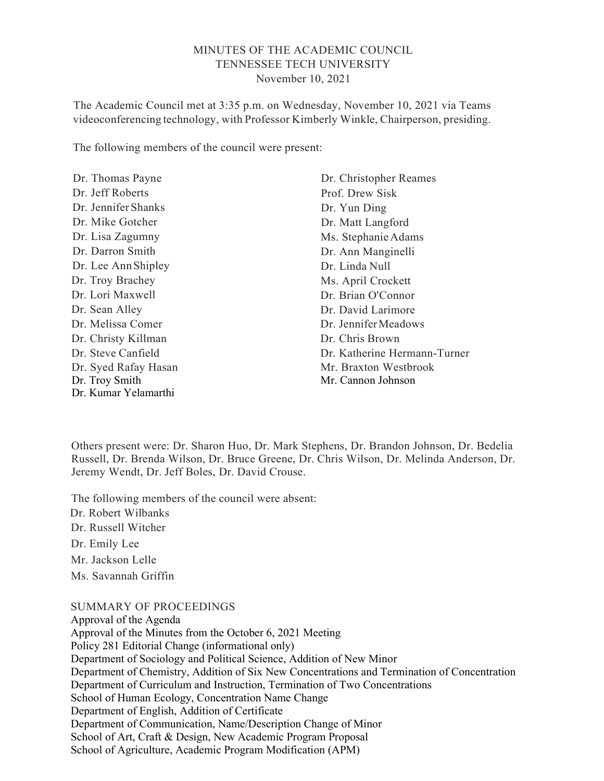## MINUTES OF THE ACADEMIC COUNCIL TENNESSEE TECH UNIVERSITY November 10, 2021

The Academic Council met at 3:35 p.m. on Wednesday, November 10, 2021 via Teams videoconferencing technology, with Professor Kimberly Winkle, Chairperson, presiding.

The following members of the council were present:

Dr. Thomas Payne Dr. Jeff Roberts Dr. Jennifer Shanks Dr. Mike Gotcher Dr. Lisa Zagumny Dr. Darron Smith Dr. Lee Ann Shipley Dr. Troy Brachey Dr. Lori Maxwell Dr. Sean Alley Dr. Melissa Comer Dr. Christy Killman Dr. Steve Canfield Dr. Syed Rafay Hasan Dr. Troy Smith Dr. Kumar Yelamarthi

Dr. Christopher Reames Prof. Drew Sisk Dr. Yun Ding Dr. Matt Langford Ms. Stephanie Adams Dr. Ann Manginelli Dr. Linda Null Ms. April Crockett Dr. Brian O'Connor Dr. David Larimore Dr. Jennifer Meadows Dr. Chris Brown Dr. Katherine Hermann-Turner Mr. Braxton Westbrook Mr. Cannon Johnson

Others present were: Dr. Sharon Huo, Dr. Mark Stephens, Dr. Brandon Johnson, Dr. Bedelia Russell, Dr. Brenda Wilson, Dr. Bruce Greene, Dr. Chris Wilson, Dr. Melinda Anderson, Dr. Jeremy Wendt, Dr. Jeff Boles, Dr. David Crouse.

The following members of the council were absent: Dr. Robert Wilbanks Dr. Russell Witcher Dr. Emily Lee Mr. Jackson Lelle Ms. Savannah Griffin

SUMMARY OF PROCEEDINGS

Approval of the Agenda Approval of the Minutes from the October 6, 2021 Meeting Policy 281 Editorial Change (informational only) Department of Sociology and Political Science, Addition of New Minor Department of Chemistry, Addition of Six New Concentrations and Termination of Concentration Department of Curriculum and Instruction, Termination of Two Concentrations School of Human Ecology, Concentration Name Change Department of English, Addition of Certificate Department of Communication, Name/Description Change of Minor School of Art, Craft & Design, New Academic Program Proposal School of Agriculture, Academic Program Modification (APM)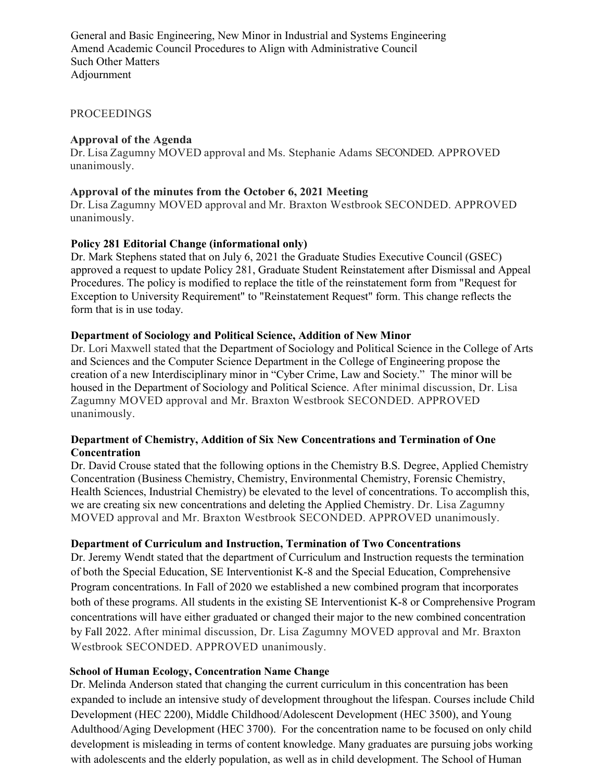General and Basic Engineering, New Minor in Industrial and Systems Engineering Amend Academic Council Procedures to Align with Administrative Council Such Other Matters Adjournment

#### PROCEEDINGS

### Approval of the Agenda

Dr. Lisa Zagumny MOVED approval and Ms. Stephanie Adams SECONDED. APPROVED unanimously.

#### Approval of the minutes from the October 6, 2021 Meeting

Dr. Lisa Zagumny MOVED approval and Mr. Braxton Westbrook SECONDED. APPROVED unanimously.

### Policy 281 Editorial Change (informational only)

Dr. Mark Stephens stated that on July 6, 2021 the Graduate Studies Executive Council (GSEC) approved a request to update Policy 281, Graduate Student Reinstatement after Dismissal and Appeal Procedures. The policy is modified to replace the title of the reinstatement form from "Request for Exception to University Requirement" to "Reinstatement Request" form. This change reflects the form that is in use today.

### Department of Sociology and Political Science, Addition of New Minor

Dr. Lori Maxwell stated that the Department of Sociology and Political Science in the College of Arts and Sciences and the Computer Science Department in the College of Engineering propose the creation of a new Interdisciplinary minor in "Cyber Crime, Law and Society." The minor will be housed in the Department of Sociology and Political Science. After minimal discussion, Dr. Lisa Zagumny MOVED approval and Mr. Braxton Westbrook SECONDED. APPROVED unanimously.

### Department of Chemistry, Addition of Six New Concentrations and Termination of One **Concentration**

Dr. David Crouse stated that the following options in the Chemistry B.S. Degree, Applied Chemistry Concentration (Business Chemistry, Chemistry, Environmental Chemistry, Forensic Chemistry, Health Sciences, Industrial Chemistry) be elevated to the level of concentrations. To accomplish this, we are creating six new concentrations and deleting the Applied Chemistry. Dr. Lisa Zagumny MOVED approval and Mr. Braxton Westbrook SECONDED. APPROVED unanimously.

#### Department of Curriculum and Instruction, Termination of Two Concentrations

Dr. Jeremy Wendt stated that the department of Curriculum and Instruction requests the termination of both the Special Education, SE Interventionist K-8 and the Special Education, Comprehensive Program concentrations. In Fall of 2020 we established a new combined program that incorporates both of these programs. All students in the existing SE Interventionist K-8 or Comprehensive Program concentrations will have either graduated or changed their major to the new combined concentration by Fall 2022. After minimal discussion, Dr. Lisa Zagumny MOVED approval and Mr. Braxton Westbrook SECONDED. APPROVED unanimously.

#### School of Human Ecology, Concentration Name Change

Dr. Melinda Anderson stated that changing the current curriculum in this concentration has been expanded to include an intensive study of development throughout the lifespan. Courses include Child Development (HEC 2200), Middle Childhood/Adolescent Development (HEC 3500), and Young Adulthood/Aging Development (HEC 3700). For the concentration name to be focused on only child development is misleading in terms of content knowledge. Many graduates are pursuing jobs working with adolescents and the elderly population, as well as in child development. The School of Human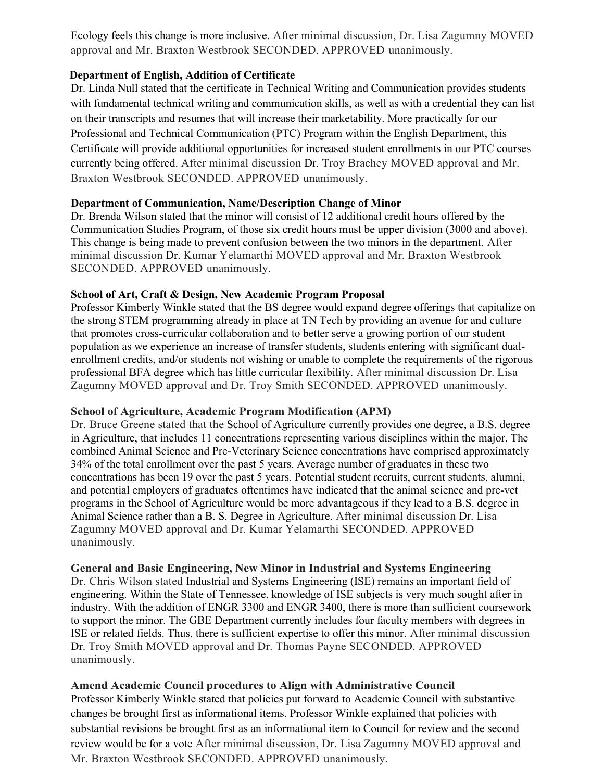Ecology feels this change is more inclusive. After minimal discussion, Dr. Lisa Zagumny MOVED approval and Mr. Braxton Westbrook SECONDED. APPROVED unanimously.

## Department of English, Addition of Certificate

Dr. Linda Null stated that the certificate in Technical Writing and Communication provides students with fundamental technical writing and communication skills, as well as with a credential they can list on their transcripts and resumes that will increase their marketability. More practically for our Professional and Technical Communication (PTC) Program within the English Department, this Certificate will provide additional opportunities for increased student enrollments in our PTC courses currently being offered. After minimal discussion Dr. Troy Brachey MOVED approval and Mr. Braxton Westbrook SECONDED. APPROVED unanimously.

# Department of Communication, Name/Description Change of Minor

Dr. Brenda Wilson stated that the minor will consist of 12 additional credit hours offered by the Communication Studies Program, of those six credit hours must be upper division (3000 and above). This change is being made to prevent confusion between the two minors in the department. After minimal discussion Dr. Kumar Yelamarthi MOVED approval and Mr. Braxton Westbrook SECONDED. APPROVED unanimously.

# School of Art, Craft & Design, New Academic Program Proposal

Professor Kimberly Winkle stated that the BS degree would expand degree offerings that capitalize on the strong STEM programming already in place at TN Tech by providing an avenue for and culture that promotes cross-curricular collaboration and to better serve a growing portion of our student population as we experience an increase of transfer students, students entering with significant dualenrollment credits, and/or students not wishing or unable to complete the requirements of the rigorous professional BFA degree which has little curricular flexibility. After minimal discussion Dr. Lisa Zagumny MOVED approval and Dr. Troy Smith SECONDED. APPROVED unanimously.

## School of Agriculture, Academic Program Modification (APM)

Dr. Bruce Greene stated that the School of Agriculture currently provides one degree, a B.S. degree in Agriculture, that includes 11 concentrations representing various disciplines within the major. The combined Animal Science and Pre-Veterinary Science concentrations have comprised approximately 34% of the total enrollment over the past 5 years. Average number of graduates in these two concentrations has been 19 over the past 5 years. Potential student recruits, current students, alumni, and potential employers of graduates oftentimes have indicated that the animal science and pre-vet programs in the School of Agriculture would be more advantageous if they lead to a B.S. degree in Animal Science rather than a B. S. Degree in Agriculture. After minimal discussion Dr. Lisa Zagumny MOVED approval and Dr. Kumar Yelamarthi SECONDED. APPROVED unanimously.

## General and Basic Engineering, New Minor in Industrial and Systems Engineering

Dr. Chris Wilson stated Industrial and Systems Engineering (ISE) remains an important field of engineering. Within the State of Tennessee, knowledge of ISE subjects is very much sought after in industry. With the addition of ENGR 3300 and ENGR 3400, there is more than sufficient coursework to support the minor. The GBE Department currently includes four faculty members with degrees in ISE or related fields. Thus, there is sufficient expertise to offer this minor. After minimal discussion Dr. Troy Smith MOVED approval and Dr. Thomas Payne SECONDED. APPROVED unanimously.

## Amend Academic Council procedures to Align with Administrative Council

Professor Kimberly Winkle stated that policies put forward to Academic Council with substantive changes be brought first as informational items. Professor Winkle explained that policies with substantial revisions be brought first as an informational item to Council for review and the second review would be for a vote After minimal discussion, Dr. Lisa Zagumny MOVED approval and Mr. Braxton Westbrook SECONDED. APPROVED unanimously.